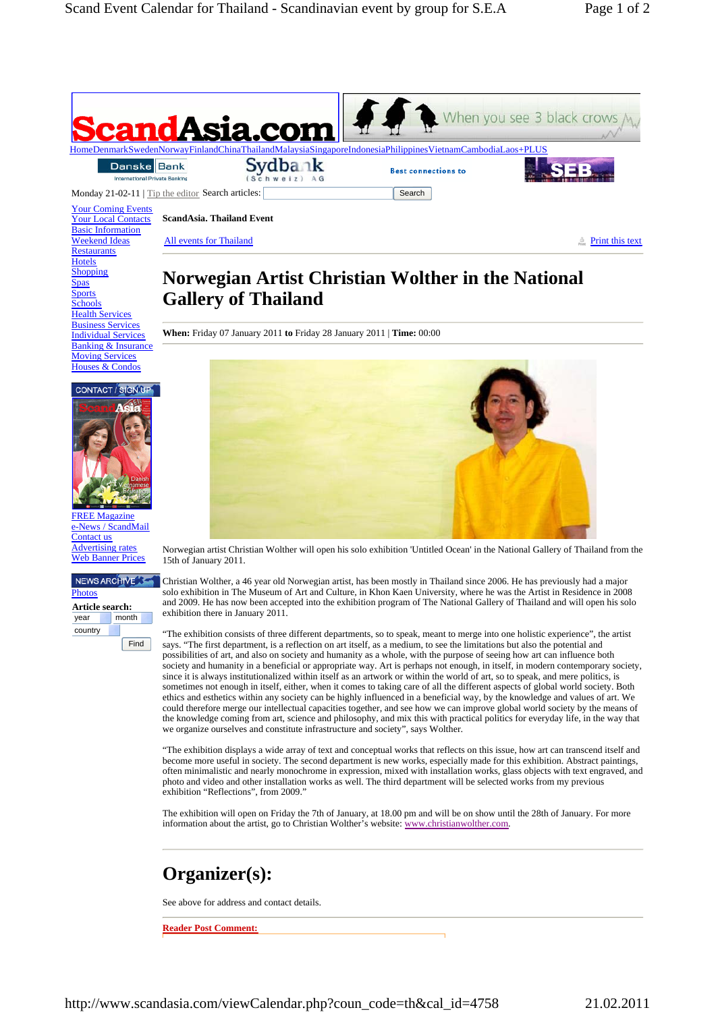

All events for Thailand  $\frac{3}{100}$  Print this text

## **Norwegian Artist Christian Wolther in the National Gallery of Thailand**

**When:** Friday 07 January 2011 **to** Friday 28 January 2011 | **Time:** 00:00



Weekend Ideas **Restaurants Hotels Shopping** Spas **Sports Schools** Health Services Business Services Individual Services Banking & Insurance **Moving Services** Houses & Condos



**FREE Magazine** News / ScandMail Contact us Advertising rates Web Banner Prices

## NEWS ARCHIVE<sup>3</sup> **Photos**

**Article search:**  vear month country Find



Norwegian artist Christian Wolther will open his solo exhibition 'Untitled Ocean' in the National Gallery of Thailand from the 15th of January 2011.

Christian Wolther, a 46 year old Norwegian artist, has been mostly in Thailand since 2006. He has previously had a major solo exhibition in The Museum of Art and Culture, in Khon Kaen University, where he was the Artist in Residence in 2008 and 2009. He has now been accepted into the exhibition program of The National Gallery of Thailand and will open his solo exhibition there in January 2011.

"The exhibition consists of three different departments, so to speak, meant to merge into one holistic experience", the artist says. "The first department, is a reflection on art itself, as a medium, to see the limitations but also the potential and possibilities of art, and also on society and humanity as a whole, with the purpose of seeing how art can influence both society and humanity in a beneficial or appropriate way. Art is perhaps not enough, in itself, in modern contemporary society, since it is always institutionalized within itself as an artwork or within the world of art, so to speak, and mere politics, is sometimes not enough in itself, either, when it comes to taking care of all the different aspects of global world society. Both ethics and esthetics within any society can be highly influenced in a beneficial way, by the knowledge and values of art. We could therefore merge our intellectual capacities together, and see how we can improve global world society by the means of the knowledge coming from art, science and philosophy, and mix this with practical politics for everyday life, in the way that we organize ourselves and constitute infrastructure and society", says Wolther.

"The exhibition displays a wide array of text and conceptual works that reflects on this issue, how art can transcend itself and become more useful in society. The second department is new works, especially made for this exhibition. Abstract paintings, often minimalistic and nearly monochrome in expression, mixed with installation works, glass objects with text engraved, and photo and video and other installation works as well. The third department will be selected works from my previous exhibition "Reflections", from 2009."

The exhibition will open on Friday the 7th of January, at 18.00 pm and will be on show until the 28th of January. For more information about the artist, go to Christian Wolther's website: www.christianwolther.com.

## **Organizer(s):**

See above for address and contact details.

**Reader Post Comment:**